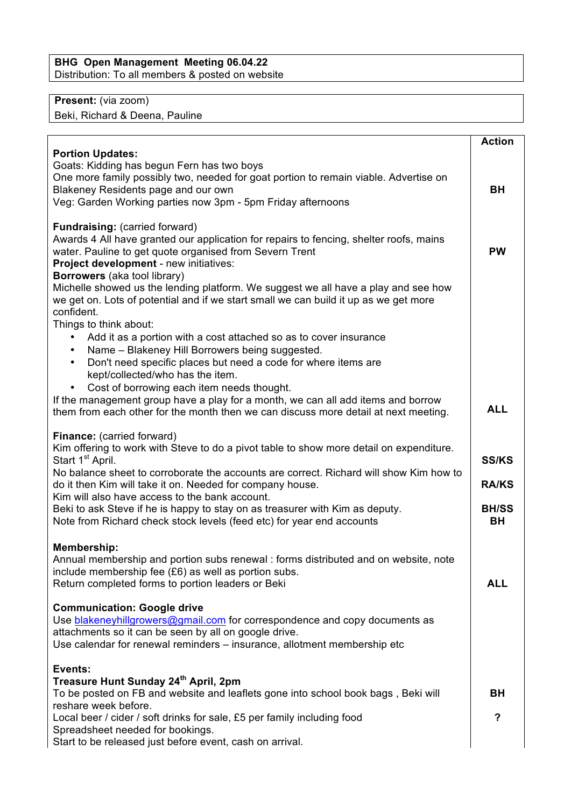## **BHG Open Management Meeting 06.04.22** Distribution: To all members & posted on website

## **Present:** (via zoom)

Beki, Richard & Deena, Pauline

|                                                                                                                                                                                                                                                                                                                                                                                                                                                                                                                         | <b>Action</b>                                             |
|-------------------------------------------------------------------------------------------------------------------------------------------------------------------------------------------------------------------------------------------------------------------------------------------------------------------------------------------------------------------------------------------------------------------------------------------------------------------------------------------------------------------------|-----------------------------------------------------------|
| <b>Portion Updates:</b><br>Goats: Kidding has begun Fern has two boys<br>One more family possibly two, needed for goat portion to remain viable. Advertise on<br>Blakeney Residents page and our own<br>Veg: Garden Working parties now 3pm - 5pm Friday afternoons                                                                                                                                                                                                                                                     | BH                                                        |
| Fundraising: (carried forward)<br>Awards 4 All have granted our application for repairs to fencing, shelter roofs, mains<br>water. Pauline to get quote organised from Severn Trent<br>Project development - new initiatives:<br>Borrowers (aka tool library)<br>Michelle showed us the lending platform. We suggest we all have a play and see how<br>we get on. Lots of potential and if we start small we can build it up as we get more<br>confident.<br>Things to think about:                                     | <b>PW</b>                                                 |
| Add it as a portion with a cost attached so as to cover insurance<br>Name - Blakeney Hill Borrowers being suggested.<br>$\bullet$<br>Don't need specific places but need a code for where items are<br>$\bullet$<br>kept/collected/who has the item.<br>Cost of borrowing each item needs thought.<br>$\bullet$<br>If the management group have a play for a month, we can all add items and borrow<br>them from each other for the month then we can discuss more detail at next meeting.                              | <b>ALL</b>                                                |
| Finance: (carried forward)<br>Kim offering to work with Steve to do a pivot table to show more detail on expenditure.<br>Start 1 <sup>st</sup> April.<br>No balance sheet to corroborate the accounts are correct. Richard will show Kim how to<br>do it then Kim will take it on. Needed for company house.<br>Kim will also have access to the bank account.<br>Beki to ask Steve if he is happy to stay on as treasurer with Kim as deputy.<br>Note from Richard check stock levels (feed etc) for year end accounts | <b>SS/KS</b><br><b>RA/KS</b><br><b>BH/SS</b><br><b>BH</b> |
| Membership:<br>Annual membership and portion subs renewal : forms distributed and on website, note<br>include membership fee (£6) as well as portion subs.<br>Return completed forms to portion leaders or Beki                                                                                                                                                                                                                                                                                                         | <b>ALL</b>                                                |
| <b>Communication: Google drive</b><br>Use blakeneyhillgrowers@gmail.com for correspondence and copy documents as<br>attachments so it can be seen by all on google drive.<br>Use calendar for renewal reminders - insurance, allotment membership etc                                                                                                                                                                                                                                                                   |                                                           |
| Events:<br>Treasure Hunt Sunday 24th April, 2pm<br>To be posted on FB and website and leaflets gone into school book bags, Beki will<br>reshare week before.                                                                                                                                                                                                                                                                                                                                                            | BH<br>?                                                   |
| Local beer / cider / soft drinks for sale, £5 per family including food<br>Spreadsheet needed for bookings.<br>Start to be released just before event, cash on arrival.                                                                                                                                                                                                                                                                                                                                                 |                                                           |